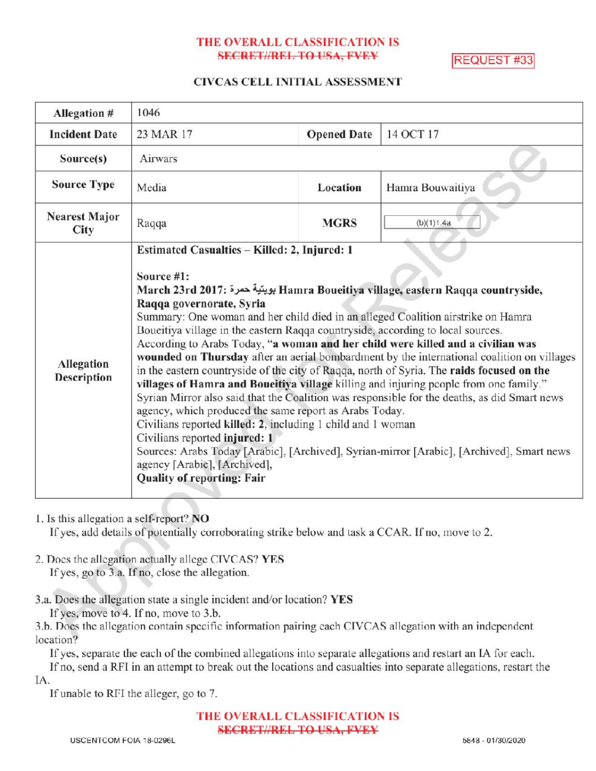# THE OVERALL CLASSIFICATION IS SECRET//REL TO USA, FVEY REQUEST #33

## CIVCAS CELL INITIAL ASSESSMENT

| Allegation #                     | 1046                                                                                                                                                                                                                                                                                                                                                                                                                                                                                                                                                                                                                                                                                                                                                                                                                                                                                                                                                                                                                                                                                                                                                 |                    |                  |
|----------------------------------|------------------------------------------------------------------------------------------------------------------------------------------------------------------------------------------------------------------------------------------------------------------------------------------------------------------------------------------------------------------------------------------------------------------------------------------------------------------------------------------------------------------------------------------------------------------------------------------------------------------------------------------------------------------------------------------------------------------------------------------------------------------------------------------------------------------------------------------------------------------------------------------------------------------------------------------------------------------------------------------------------------------------------------------------------------------------------------------------------------------------------------------------------|--------------------|------------------|
| <b>Incident Date</b>             | 23 MAR 17                                                                                                                                                                                                                                                                                                                                                                                                                                                                                                                                                                                                                                                                                                                                                                                                                                                                                                                                                                                                                                                                                                                                            | <b>Opened Date</b> | 14 OCT 17        |
| Source(s)                        | Airwars                                                                                                                                                                                                                                                                                                                                                                                                                                                                                                                                                                                                                                                                                                                                                                                                                                                                                                                                                                                                                                                                                                                                              |                    |                  |
| <b>Source Type</b>               | Media                                                                                                                                                                                                                                                                                                                                                                                                                                                                                                                                                                                                                                                                                                                                                                                                                                                                                                                                                                                                                                                                                                                                                | Location           | Hamra Bouwaitiya |
| <b>Nearest Major</b><br>City     | Raqqa                                                                                                                                                                                                                                                                                                                                                                                                                                                                                                                                                                                                                                                                                                                                                                                                                                                                                                                                                                                                                                                                                                                                                | <b>MGRS</b>        | (b)(1)1.4a       |
| <b>Allegation</b><br>Description | Estimated Casualties - Killed: 2, Injured: 1<br>Source #1:<br>March 23rd 2017: بويتية حمرة Hamra Boueitiya village, eastern Raqqa countryside,<br>Raqqa governorate, Syria<br>Summary: One woman and her child died in an alleged Coalition airstrike on Hamra<br>Boueitiya village in the eastern Raqqa countryside, according to local sources.<br>According to Arabs Today, "a woman and her child were killed and a civilian was<br>wounded on Thursday after an aerial bombardment by the international coalition on villages<br>in the eastern countryside of the city of Raqqa, north of Syria. The raids focused on the<br>villages of Hamra and Boueitiya village killing and injuring people from one family."<br>Syrian Mirror also said that the Coalition was responsible for the deaths, as did Smart news<br>agency, which produced the same report as Arabs Today.<br>Civilians reported killed: 2, including 1 child and 1 woman<br>Civilians reported injured: 1<br>Sources: Arabs Today [Arabic], [Archived], Syrian-mirror [Arabic], [Archived], Smart news<br>agency [Arabic], [Archived],<br><b>Quality of reporting: Fair</b> |                    |                  |

1. Is this allegation a self-report? NO

If yes, add details of potentially corroborating strike below and task a CCAR. If no, move to 2.

2. Does the allegation actually allege CIVCAS? YES If yes, go to 3.a. If no, close the allegation.

3.a. Does the allegation state a single incident and/or location? YES

If yes, move to 4. If no, move to 3.b.

3.b. Does the allegation contain specific information pairing each CIVCAS allegation with an independent location?

Ifyes, separate the each of the combined allegations into separate allegations and restart an IA for each.

If no, send a RFI in an attempt to break out the locations and casualties into separate allegations, restart the IA.

If unable to RFI the alleger, go to 7.

THE OVERALL CLASSIFICATION IS **SECRET//REL TO USA, FVEY**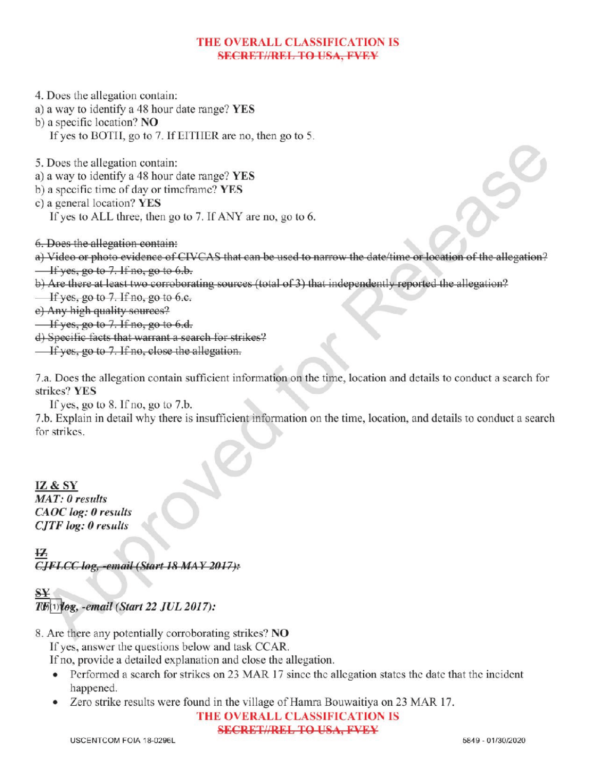## THE OVERALL CLASSIFICATION IS SECRET//REL TO USA, FVEY

4. Does the allegation contain:

a) <sup>a</sup> way to identify <sup>a</sup> 48 hour date range? YES

b) a specific location? NO If yes to BOTH, go to 7. If EITHER are no, then go to 5.

5. Does the allegation contain:

a) <sup>a</sup> way to identify a 48 hour date range? YES

b) a specific time of day or timeframe? YES

c) a general location? YES

If yes to ALL three, then go to 7. If ANY are no, go to 6.

6. Does the allegation contain :

a) Video or photo evidence of CIVCAS that can be used to narrow the date/ time or location of the allegation?  $\frac{1}{1}$  yes, go to 7. If no, go to 6.b.

b) Are there at least two corroborating sources (total of 3) that independently reported the allegation?

If yes, go to  $7.$  If no, go to 6.c.

) Any high quality sources?

 $\frac{1}{1}$  If yes, go to 7. If no, go to 6.d.

) Specific facts that warrant <sup>a</sup> search for strikes?

If yes, go to 7. If no, close the allegation.

7.a. Does the allegation contain sufficient information on the time, location and details to conduct a search for strikes? YES

If yes, go to  $8$ . If no, go to  $7.b$ .

7.b. Explain in detail why there is insufficient information on the time, location, and details to conduct a search for strikes

IZ & SY  $MAT: 0$  results CAOC log: 0 results  $CJTF log: 0$  results

-email (Start 18 MAY 2017):

S  $T\ddot{\mathcal{B}}(1)$ log, -email (Start 22 JUL 2017):

8. Are there any potentially corroborating strikes? NO

If yes, answer the questions below and task CCAR.

Ifno, provide <sup>a</sup> detailed explanation and close the allegation.

- Performed a search for strikes on 23 MAR 17 since the allegation states the date that the incident happened.
- Zero strike results were found in the village of Hamra Bouwaitiya on 23 MAR 17.

THE OVERALL CLASSIFICATION IS

SECRET//REL TO USA, FVEY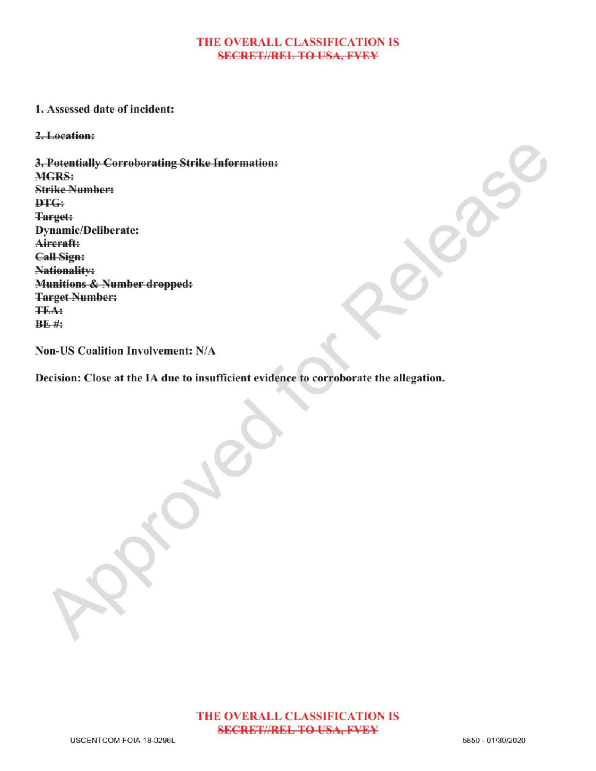## THE OVERALL CLASSIFICATION IS **SECRET//REL TO USA, FVEY**

#### 1. Assessed date of incident:

2.Location:

3.Potentially Corroborating Strike Information: MGRS: Strike Number: DTG: Target: Dynamic/Deliberate: Aircraft: Call Sign: Nationality: Munitions & Number dropped: **Target Number:** TEA :  $BE$ #:

Non-US Coalition Involvement: N/A

Decision: Close at the IA due to insufficient evidence to corroborate the allegation.

Approved